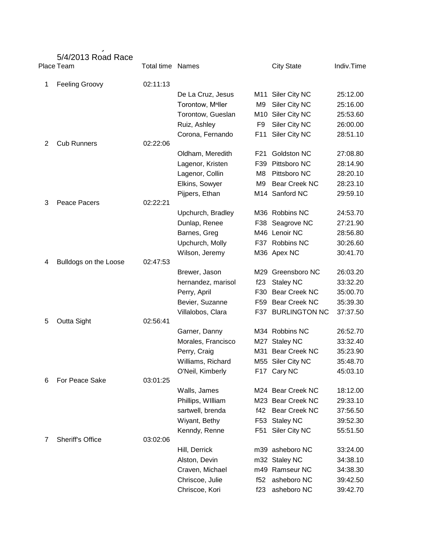|   | 5/4/2013 Road Race<br>Place Team | <b>Total time Names</b> |                               |                | <b>City State</b>    | Indiv.Time |
|---|----------------------------------|-------------------------|-------------------------------|----------------|----------------------|------------|
| 1 | <b>Feeling Groovy</b>            | 02:11:13                |                               |                |                      |            |
|   |                                  |                         | De La Cruz, Jesus             |                | M11 Siler City NC    | 25:12.00   |
|   |                                  |                         | Torontow, M <sup>n</sup> ller | M <sub>9</sub> | Siler City NC        | 25:16.00   |
|   |                                  |                         | Torontow, Gueslan             | M10            | Siler City NC        | 25:53.60   |
|   |                                  |                         | Ruiz, Ashley                  | F <sub>9</sub> | Siler City NC        | 26:00.00   |
|   |                                  |                         | Corona, Fernando              | F11            | Siler City NC        | 28:51.10   |
| 2 | <b>Cub Runners</b>               | 02:22:06                |                               |                |                      |            |
|   |                                  |                         | Oldham, Meredith              | F21            | Goldston NC          | 27:08.80   |
|   |                                  |                         | Lagenor, Kristen              | F39            | Pittsboro NC         | 28:14.90   |
|   |                                  |                         | Lagenor, Collin               | M8             | Pittsboro NC         | 28:20.10   |
|   |                                  |                         | Elkins, Sowyer                | M <sub>9</sub> | Bear Creek NC        | 28:23.10   |
|   |                                  |                         | Pijpers, Ethan                |                | M14 Sanford NC       | 29:59.10   |
| 3 | Peace Pacers                     | 02:22:21                |                               |                |                      |            |
|   |                                  |                         | Upchurch, Bradley             |                | M36 Robbins NC       | 24:53.70   |
|   |                                  |                         | Dunlap, Renee                 |                | F38 Seagrove NC      | 27:21.90   |
|   |                                  |                         | Barnes, Greg                  |                | M46 Lenoir NC        | 28:56.80   |
|   |                                  |                         | Upchurch, Molly               |                | F37 Robbins NC       | 30:26.60   |
|   |                                  |                         | Wilson, Jeremy                |                | M36 Apex NC          | 30:41.70   |
| 4 | Bulldogs on the Loose            | 02:47:53                |                               |                |                      |            |
|   |                                  |                         | Brewer, Jason                 | M29            | Greensboro NC        | 26:03.20   |
|   |                                  |                         | hernandez, marisol            | f23            | <b>Staley NC</b>     | 33:32.20   |
|   |                                  |                         | Perry, April                  | F30            | <b>Bear Creek NC</b> | 35:00.70   |
|   |                                  |                         | Bevier, Suzanne               | F59            | <b>Bear Creek NC</b> | 35:39.30   |
|   |                                  |                         | Villalobos, Clara             | F37            | <b>BURLINGTON NC</b> | 37:37.50   |
| 5 | Outta Sight                      | 02:56:41                |                               |                |                      |            |
|   |                                  |                         | Garner, Danny                 |                | M34 Robbins NC       | 26:52.70   |
|   |                                  |                         | Morales, Francisco            | M27            | <b>Staley NC</b>     | 33:32.40   |
|   |                                  |                         | Perry, Craig                  |                | M31 Bear Creek NC    | 35:23.90   |
|   |                                  |                         | Williams, Richard             |                | M55 Siler City NC    | 35:48.70   |
|   |                                  |                         | O'Neil, Kimberly              |                | F17 Cary NC          | 45:03.10   |
| 6 | For Peace Sake                   | 03:01:25                |                               |                |                      |            |
|   |                                  |                         | Walls, James                  |                | M24 Bear Creek NC    | 18:12.00   |
|   |                                  |                         | Phillips, William             |                | M23 Bear Creek NC    | 29:33.10   |
|   |                                  |                         | sartwell, brenda              | f42            | <b>Bear Creek NC</b> | 37:56.50   |
|   |                                  |                         | Wiyant, Bethy                 |                | F53 Staley NC        | 39:52.30   |
| 7 | <b>Sheriff's Office</b>          | 03:02:06                | Kenndy, Renne                 | F51            | Siler City NC        | 55:51.50   |
|   |                                  |                         | Hill, Derrick                 |                | m39 asheboro NC      | 33:24.00   |
|   |                                  |                         | Alston, Devin                 |                | m32 Staley NC        | 34:38.10   |
|   |                                  |                         | Craven, Michael               |                | m49 Ramseur NC       | 34:38.30   |
|   |                                  |                         | Chriscoe, Julie               | f52            | asheboro NC          | 39:42.50   |
|   |                                  |                         | Chriscoe, Kori                | f23            | asheboro NC          | 39:42.70   |
|   |                                  |                         |                               |                |                      |            |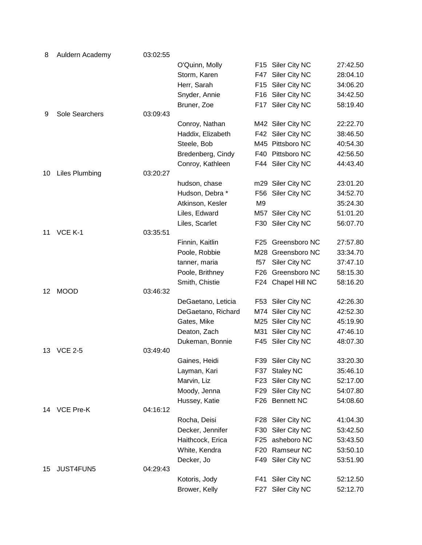| 8  | Auldern Academy       | 03:02:55 |                    |                 |                    |          |
|----|-----------------------|----------|--------------------|-----------------|--------------------|----------|
|    |                       |          | O'Quinn, Molly     |                 | F15 Siler City NC  | 27:42.50 |
|    |                       |          | Storm, Karen       |                 | F47 Siler City NC  | 28:04.10 |
|    |                       |          | Herr, Sarah        |                 | F15 Siler City NC  | 34:06.20 |
|    |                       |          | Snyder, Annie      |                 | F16 Siler City NC  | 34:42.50 |
|    |                       |          | Bruner, Zoe        |                 | F17 Siler City NC  | 58:19.40 |
| 9  | Sole Searchers        | 03:09:43 |                    |                 |                    |          |
|    |                       |          | Conroy, Nathan     |                 | M42 Siler City NC  | 22:22.70 |
|    |                       |          | Haddix, Elizabeth  |                 | F42 Siler City NC  | 38:46.50 |
|    |                       |          | Steele, Bob        |                 | M45 Pittsboro NC   | 40:54.30 |
|    |                       |          | Bredenberg, Cindy  |                 | F40 Pittsboro NC   | 42:56.50 |
|    |                       |          | Conroy, Kathleen   |                 | F44 Siler City NC  | 44:43.40 |
| 10 | <b>Liles Plumbing</b> | 03:20:27 |                    |                 |                    |          |
|    |                       |          | hudson, chase      |                 | m29 Siler City NC  | 23:01.20 |
|    |                       |          | Hudson, Debra *    |                 | F56 Siler City NC  | 34:52.70 |
|    |                       |          | Atkinson, Kesler   | M <sub>9</sub>  |                    | 35:24.30 |
|    |                       |          | Liles, Edward      |                 | M57 Siler City NC  | 51:01.20 |
|    |                       |          | Liles, Scarlet     |                 | F30 Siler City NC  | 56:07.70 |
| 11 | VCE K-1               | 03:35:51 |                    |                 |                    |          |
|    |                       |          | Finnin, Kaitlin    |                 | F25 Greensboro NC  | 27:57.80 |
|    |                       |          | Poole, Robbie      |                 | M28 Greensboro NC  | 33:34.70 |
|    |                       |          | tanner, maria      | f57             | Siler City NC      | 37:47.10 |
|    |                       |          | Poole, Brithney    | F <sub>26</sub> | Greensboro NC      | 58:15.30 |
| 12 | <b>MOOD</b>           | 03:46:32 | Smith, Chistie     |                 | F24 Chapel Hill NC | 58:16.20 |
|    |                       |          | DeGaetano, Leticia |                 | F53 Siler City NC  | 42:26.30 |
|    |                       |          | DeGaetano, Richard |                 | M74 Siler City NC  | 42:52.30 |
|    |                       |          | Gates, Mike        |                 | M25 Siler City NC  | 45:19.90 |
|    |                       |          | Deaton, Zach       |                 | M31 Siler City NC  | 47:46.10 |
|    |                       |          | Dukeman, Bonnie    |                 | F45 Siler City NC  | 48:07.30 |
| 13 | <b>VCE 2-5</b>        | 03:49:40 |                    |                 |                    |          |
|    |                       |          | Gaines, Heidi      |                 | F39 Siler City NC  | 33:20.30 |
|    |                       |          | Layman, Kari       |                 | F37 Staley NC      | 35:46.10 |
|    |                       |          | Marvin, Liz        |                 | F23 Siler City NC  | 52:17.00 |
|    |                       |          | Moody, Jenna       |                 | F29 Siler City NC  | 54:07.80 |
|    |                       |          | Hussey, Katie      |                 | F26 Bennett NC     | 54:08.60 |
| 14 | VCE Pre-K             | 04:16:12 |                    |                 |                    |          |
|    |                       |          | Rocha, Deisi       |                 | F28 Siler City NC  | 41:04.30 |
|    |                       |          | Decker, Jennifer   |                 | F30 Siler City NC  | 53:42.50 |
|    |                       |          | Haithcock, Erica   |                 | F25 asheboro NC    | 53:43.50 |
|    |                       |          | White, Kendra      |                 | F20 Ramseur NC     | 53:50.10 |
|    |                       |          | Decker, Jo         |                 | F49 Siler City NC  | 53:51.90 |
| 15 | JUST4FUN5             | 04:29:43 |                    |                 |                    |          |
|    |                       |          | Kotoris, Jody      | F41             | Siler City NC      | 52:12.50 |
|    |                       |          | Brower, Kelly      |                 | F27 Siler City NC  | 52:12.70 |
|    |                       |          |                    |                 |                    |          |